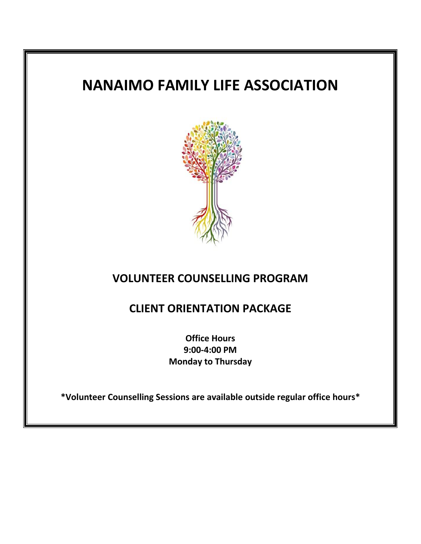# **NANAIMO FAMILY LIFE ASSOCIATION**



# **VOLUNTEER COUNSELLING PROGRAM**

# **CLIENT ORIENTATION PACKAGE**

**Office Hours 9:00-4:00 PM Monday to Thursday**

**\*Volunteer Counselling Sessions are available outside regular office hours\***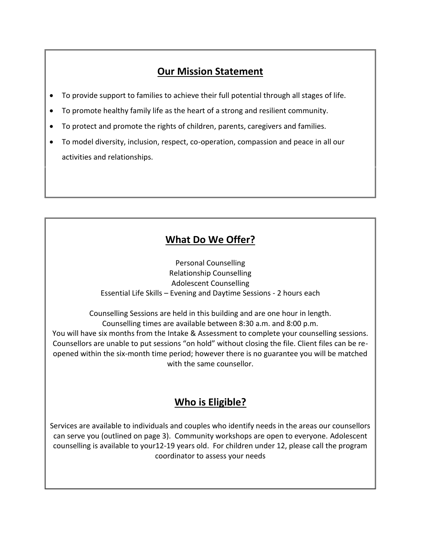### **Our Mission Statement**

- To provide support to families to achieve their full potential through all stages of life.
- To promote healthy family life as the heart of a strong and resilient community.
- To protect and promote the rights of children, parents, caregivers and families.
- To model diversity, inclusion, respect, co-operation, compassion and peace in all our activities and relationships.

# **What Do We Offer?**

Personal Counselling Relationship Counselling Adolescent Counselling Essential Life Skills – Evening and Daytime Sessions - 2 hours each

Counselling Sessions are held in this building and are one hour in length. Counselling times are available between 8:30 a.m. and 8:00 p.m. You will have six months from the Intake & Assessment to complete your counselling sessions. Counsellors are unable to put sessions "on hold" without closing the file. Client files can be reopened within the six-month time period; however there is no guarantee you will be matched with the same counsellor.

## **Who is Eligible?**

Services are available to individuals and couples who identify needs in the areas our counsellors can serve you (outlined on page 3). Community workshops are open to everyone. Adolescent counselling is available to your12-19 years old. For children under 12, please call the program coordinator to assess your needs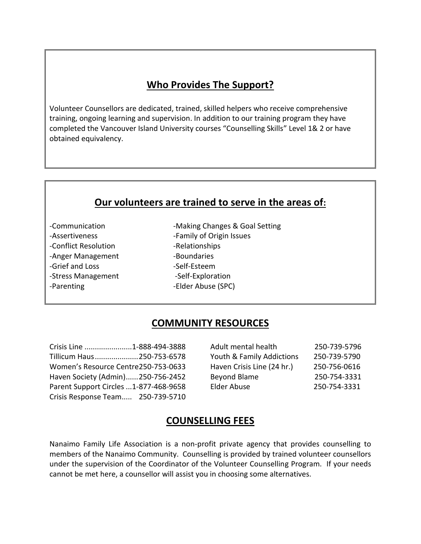#### **Who Provides The Support?**

Volunteer Counsellors are dedicated, trained, skilled helpers who receive comprehensive training, ongoing learning and supervision. In addition to our training program they have completed the Vancouver Island University courses "Counselling Skills" Level 1& 2 or have obtained equivalency.

#### **Our volunteers are trained to serve in the areas of:**

-Conflict Resolution - Relationships -Anger Management -Boundaries -Grief and Loss -Self-Esteem -Stress Management -Self-Exploration -Parenting **-**Elder Abuse (SPC)

-Communication **-Making Changes & Goal Setting** -Assertiveness **Exercise 2** -Family of Origin Issues

#### **COMMUNITY RESOURCES**

Crisis Response Team..... 250-739-5710

Crisis Line .......................1-888-494-3888 Adult mental health 250-739-5796 Tillicum Haus.....................250-753-6578 Youth & Family Addictions 250-739-5790 Women's Resource Centre250-753-0633 Haven Crisis Line (24 hr.) 250-756-0616 Haven Society (Admin)......250-756-2452 Beyond Blame 250-754-3331 Parent Support Circles ...1-877-468-9658 Elder Abuse 250-754-3331

#### **COUNSELLING FEES**

Nanaimo Family Life Association is a non-profit private agency that provides counselling to members of the Nanaimo Community. Counselling is provided by trained volunteer counsellors under the supervision of the Coordinator of the Volunteer Counselling Program. If your needs cannot be met here, a counsellor will assist you in choosing some alternatives.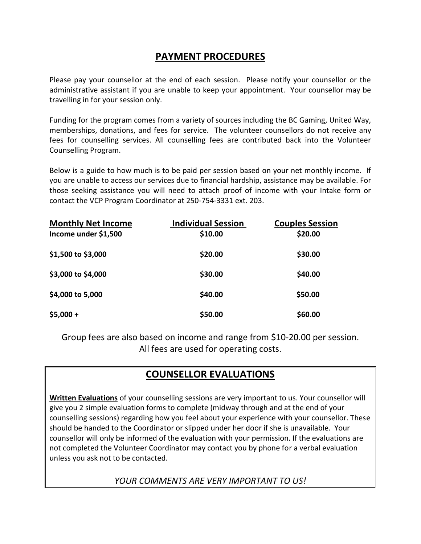#### **PAYMENT PROCEDURES**

Please pay your counsellor at the end of each session. Please notify your counsellor or the administrative assistant if you are unable to keep your appointment. Your counsellor may be travelling in for your session only.

Funding for the program comes from a variety of sources including the BC Gaming, United Way, memberships, donations, and fees for service. The volunteer counsellors do not receive any fees for counselling services. All counselling fees are contributed back into the Volunteer Counselling Program.

Below is a guide to how much is to be paid per session based on your net monthly income. If you are unable to access our services due to financial hardship, assistance may be available. For those seeking assistance you will need to attach proof of income with your Intake form or contact the VCP Program Coordinator at 250-754-3331 ext. 203.

| <b>Monthly Net Income</b><br>Income under \$1,500 | <b>Individual Session</b><br>\$10.00 | <b>Couples Session</b><br>\$20.00 |
|---------------------------------------------------|--------------------------------------|-----------------------------------|
| \$1,500 to \$3,000                                | \$20.00                              | \$30.00                           |
| \$3,000 to \$4,000                                | \$30.00                              | \$40.00                           |
| \$4,000 to 5,000                                  | \$40.00                              | \$50.00                           |
| $$5,000 +$                                        | \$50.00                              | \$60.00                           |

Group fees are also based on income and range from \$10-20.00 per session. All fees are used for operating costs.

## **COUNSELLOR EVALUATIONS**

**Written Evaluations** of your counselling sessions are very important to us. Your counsellor will give you 2 simple evaluation forms to complete (midway through and at the end of your counselling sessions) regarding how you feel about your experience with your counsellor. These should be handed to the Coordinator or slipped under her door if she is unavailable. Your counsellor will only be informed of the evaluation with your permission. If the evaluations are not completed the Volunteer Coordinator may contact you by phone for a verbal evaluation unless you ask not to be contacted.

*YOUR COMMENTS ARE VERY IMPORTANT TO US!*